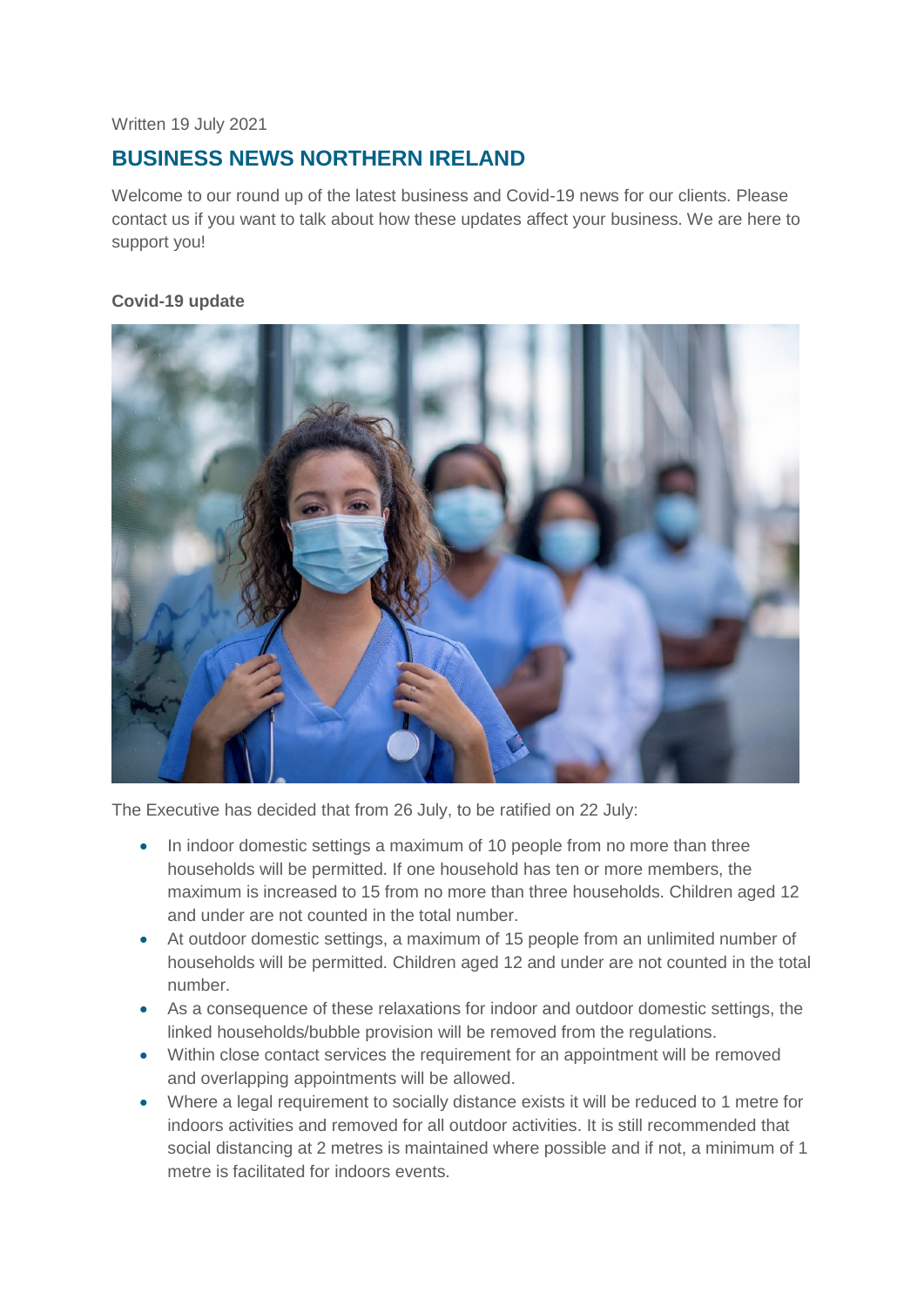#### Written 19 July 2021

# **BUSINESS NEWS NORTHERN IRELAND**

Welcome to our round up of the latest business and Covid-19 news for our clients. Please contact us if you want to talk about how these updates affect your business. We are here to support you!

## **Covid-19 update**



The Executive has decided that from 26 July, to be ratified on 22 July:

- In indoor domestic settings a maximum of 10 people from no more than three households will be permitted. If one household has ten or more members, the maximum is increased to 15 from no more than three households. Children aged 12 and under are not counted in the total number.
- At outdoor domestic settings, a maximum of 15 people from an unlimited number of households will be permitted. Children aged 12 and under are not counted in the total number.
- As a consequence of these relaxations for indoor and outdoor domestic settings, the linked households/bubble provision will be removed from the regulations.
- Within close contact services the requirement for an appointment will be removed and overlapping appointments will be allowed.
- Where a legal requirement to socially distance exists it will be reduced to 1 metre for indoors activities and removed for all outdoor activities. It is still recommended that social distancing at 2 metres is maintained where possible and if not, a minimum of 1 metre is facilitated for indoors events.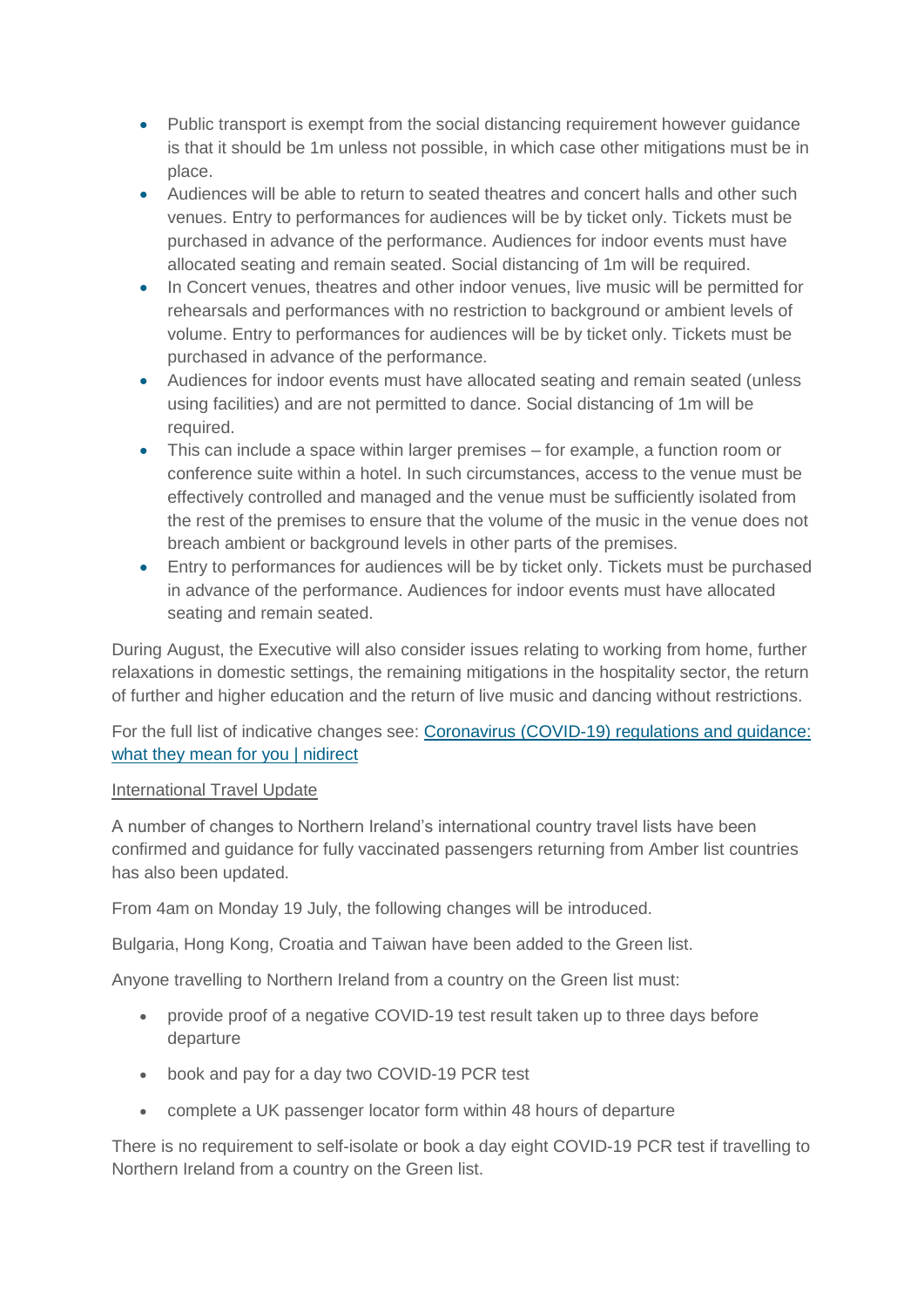- Public transport is exempt from the social distancing requirement however guidance is that it should be 1m unless not possible, in which case other mitigations must be in place.
- Audiences will be able to return to seated theatres and concert halls and other such venues. Entry to performances for audiences will be by ticket only. Tickets must be purchased in advance of the performance. Audiences for indoor events must have allocated seating and remain seated. Social distancing of 1m will be required.
- In Concert venues, theatres and other indoor venues, live music will be permitted for rehearsals and performances with no restriction to background or ambient levels of volume. Entry to performances for audiences will be by ticket only. Tickets must be purchased in advance of the performance.
- Audiences for indoor events must have allocated seating and remain seated (unless using facilities) and are not permitted to dance. Social distancing of 1m will be required.
- This can include a space within larger premises for example, a function room or conference suite within a hotel. In such circumstances, access to the venue must be effectively controlled and managed and the venue must be sufficiently isolated from the rest of the premises to ensure that the volume of the music in the venue does not breach ambient or background levels in other parts of the premises.
- Entry to performances for audiences will be by ticket only. Tickets must be purchased in advance of the performance. Audiences for indoor events must have allocated seating and remain seated.

During August, the Executive will also consider issues relating to working from home, further relaxations in domestic settings, the remaining mitigations in the hospitality sector, the return of further and higher education and the return of live music and dancing without restrictions.

For the full list of indicative changes see: [Coronavirus \(COVID-19\) regulations and guidance:](https://www.nidirect.gov.uk/articles/coronavirus-covid-19-regulations-and-guidance-what-they-mean-you)  [what they mean for you | nidirect](https://www.nidirect.gov.uk/articles/coronavirus-covid-19-regulations-and-guidance-what-they-mean-you)

## International Travel Update

A number of changes to Northern Ireland's international country travel lists have been confirmed and guidance for fully vaccinated passengers returning from Amber list countries has also been updated.

From 4am on Monday 19 July, the following changes will be introduced.

Bulgaria, Hong Kong, Croatia and Taiwan have been added to the Green list.

Anyone travelling to Northern Ireland from a country on the Green list must:

- provide proof of a negative COVID-19 test result taken up to three days before departure
- book and pay for a day two COVID-19 PCR test
- complete a UK passenger locator form within 48 hours of departure

There is no requirement to self-isolate or book a day eight COVID-19 PCR test if travelling to Northern Ireland from a country on the Green list.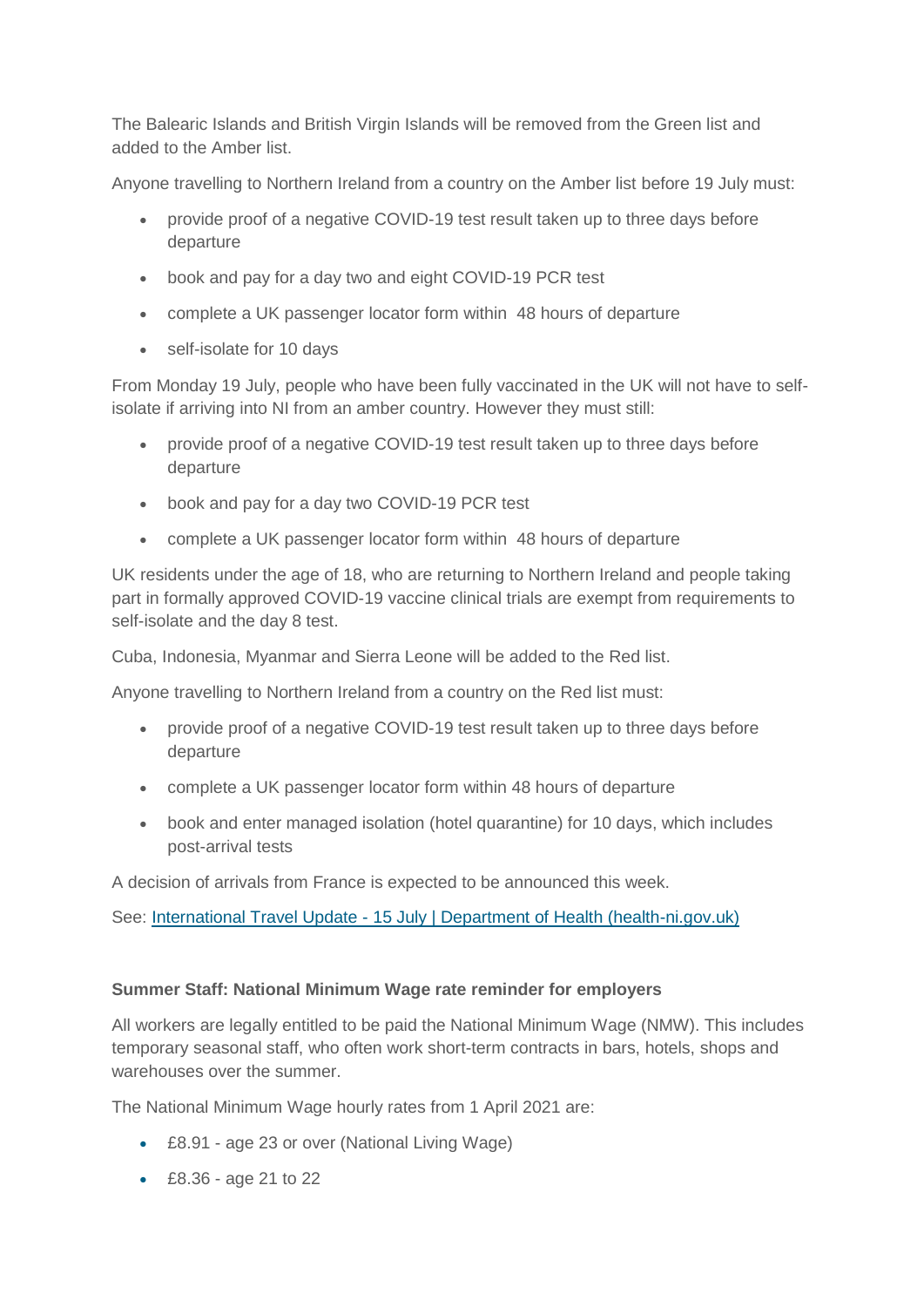The Balearic Islands and British Virgin Islands will be removed from the Green list and added to the Amber list.

Anyone travelling to Northern Ireland from a country on the Amber list before 19 July must:

- provide proof of a negative COVID-19 test result taken up to three days before departure
- book and pay for a day two and eight COVID-19 PCR test
- complete a UK passenger locator form within 48 hours of departure
- self-isolate for 10 days

From Monday 19 July, people who have been fully vaccinated in the UK will not have to selfisolate if arriving into NI from an amber country. However they must still:

- provide proof of a negative COVID-19 test result taken up to three days before departure
- book and pay for a day two COVID-19 PCR test
- complete a UK passenger locator form within 48 hours of departure

UK residents under the age of 18, who are returning to Northern Ireland and people taking part in formally approved COVID-19 vaccine clinical trials are exempt from requirements to self-isolate and the day 8 test.

Cuba, Indonesia, Myanmar and Sierra Leone will be added to the Red list.

Anyone travelling to Northern Ireland from a country on the Red list must:

- provide proof of a negative COVID-19 test result taken up to three days before departure
- complete a UK passenger locator form within 48 hours of departure
- book and enter managed isolation (hotel quarantine) for 10 days, which includes post-arrival tests

A decision of arrivals from France is expected to be announced this week.

See: International Travel Update - [15 July | Department of Health \(health-ni.gov.uk\)](http://www.health-ni.gov.uk/news/international-travel-update-15-july)

## **Summer Staff: National Minimum Wage rate reminder for employers**

All workers are legally entitled to be paid the National Minimum Wage (NMW). This includes temporary seasonal staff, who often work short-term contracts in bars, hotels, shops and warehouses over the summer.

The National Minimum Wage hourly rates from 1 April 2021 are:

- £8.91 age 23 or over (National Living Wage)
- £8.36 age 21 to 22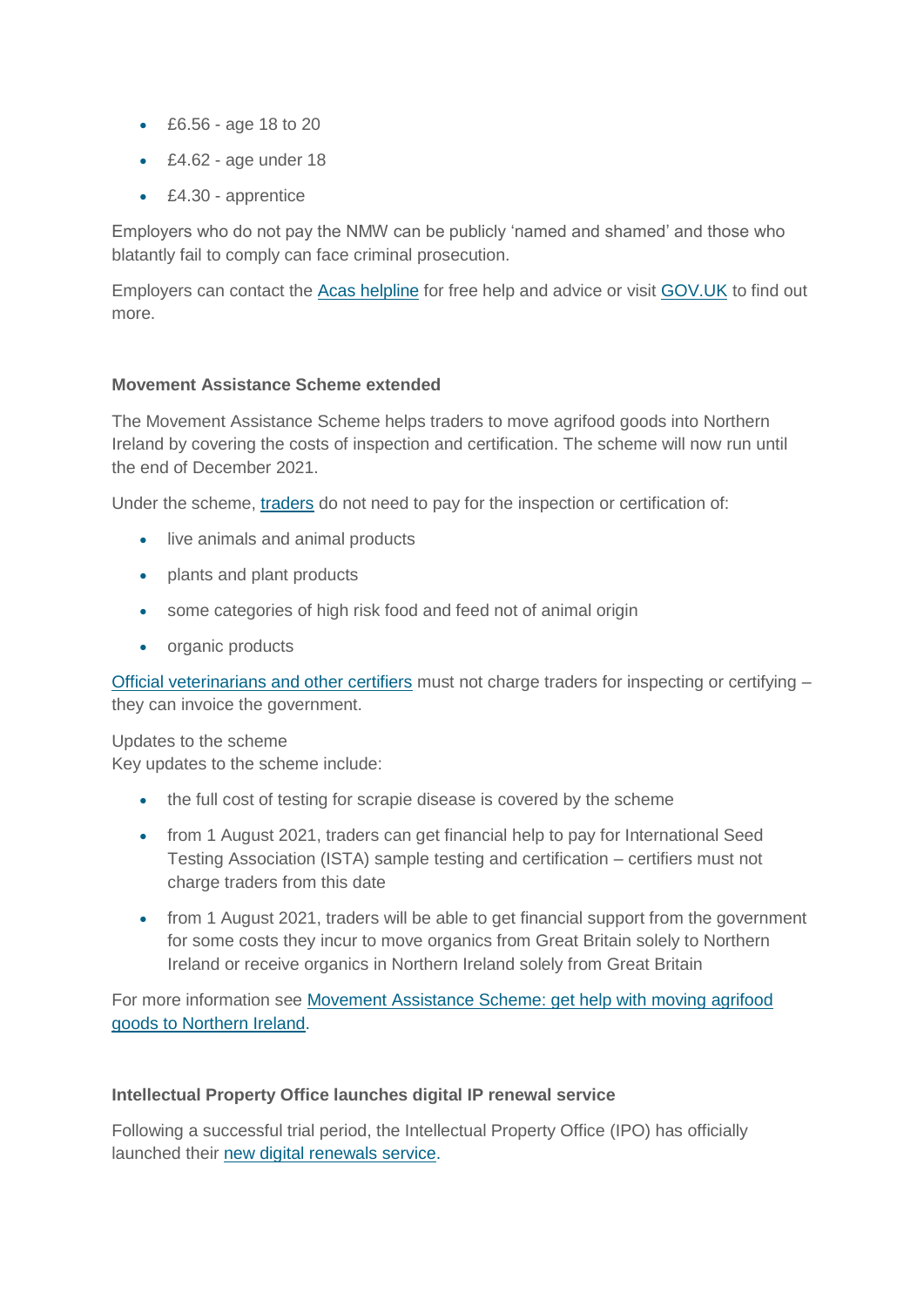- £6.56 age 18 to 20
- £4.62 age under 18
- £4.30 apprentice

Employers who do not pay the NMW can be publicly 'named and shamed' and those who blatantly fail to comply can face criminal prosecution.

Employers can contact the [Acas helpline](https://www.acas.org.uk/contact) for free help and advice or visit [GOV.UK](https://www.gov.uk/government/news/national-minimum-wage-rate-reminder-for-summer-staff) to find out more.

## **Movement Assistance Scheme extended**

The Movement Assistance Scheme helps traders to move agrifood goods into Northern Ireland by covering the costs of inspection and certification. The scheme will now run until the end of December 2021.

Under the scheme, [traders](https://www.nibusinessinfo.co.uk/content/movement-assistance-scheme-advice-traders) do not need to pay for the inspection or certification of:

- live animals and animal products
- plants and plant products
- some categories of high risk food and feed not of animal origin
- organic products

[Official veterinarians and other certifiers](https://www.nibusinessinfo.co.uk/content/movement-assistance-scheme-advice-certifiers) must not charge traders for inspecting or certifying – they can invoice the government.

Updates to the scheme

Key updates to the scheme include:

- the full cost of testing for scrapie disease is covered by the scheme
- from 1 August 2021, traders can get financial help to pay for International Seed Testing Association (ISTA) sample testing and certification – certifiers must not charge traders from this date
- from 1 August 2021, traders will be able to get financial support from the government for some costs they incur to move organics from Great Britain solely to Northern Ireland or receive organics in Northern Ireland solely from Great Britain

For more information see [Movement Assistance Scheme: get help with moving agrifood](https://www.nibusinessinfo.co.uk/content/movement-assistance-scheme-get-help-moving-agrifood-goods-northern-ireland)  [goods to Northern Ireland.](https://www.nibusinessinfo.co.uk/content/movement-assistance-scheme-get-help-moving-agrifood-goods-northern-ireland)

#### **Intellectual Property Office launches digital IP renewal service**

Following a successful trial period, the Intellectual Property Office (IPO) has officially launched their new digital [renewals service.](https://www.gov.uk/renew-patent-trademark-registered-design)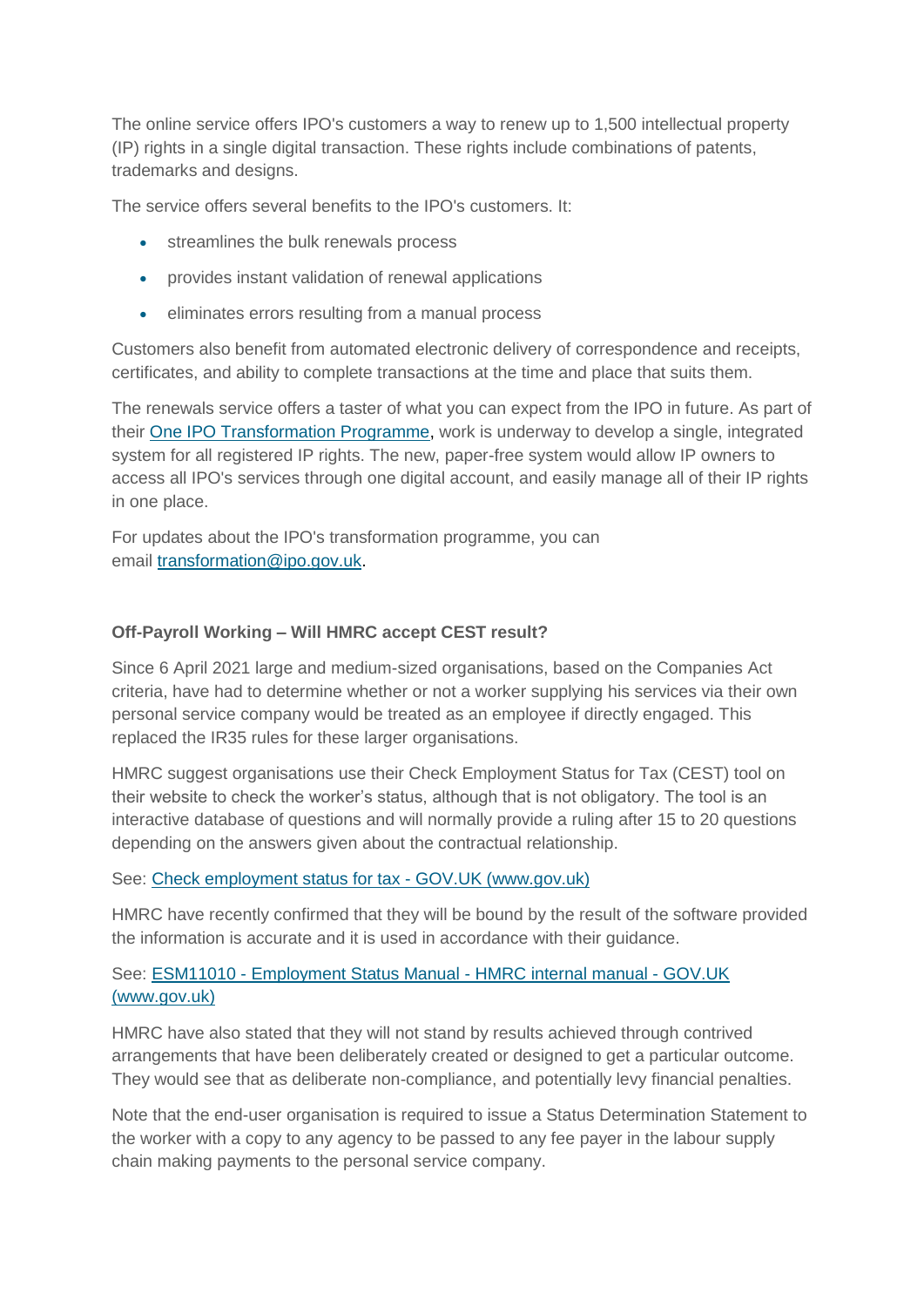The online service offers IPO's customers a way to renew up to 1,500 intellectual property (IP) rights in a single digital transaction. These rights include combinations of patents, trademarks and designs.

The service offers several benefits to the IPO's customers. It:

- streamlines the bulk renewals process
- provides instant validation of renewal applications
- eliminates errors resulting from a manual process

Customers also benefit from automated electronic delivery of correspondence and receipts, certificates, and ability to complete transactions at the time and place that suits them.

The renewals service offers a taster of what you can expect from the IPO in future. As part of their [One IPO Transformation Programme,](https://www.gov.uk/government/publications/one-ipo-transformation-prospectus/one-ipo-transformation-prospectus) work is underway to develop a single, integrated system for all registered IP rights. The new, paper-free system would allow IP owners to access all IPO's services through one digital account, and easily manage all of their IP rights in one place.

For updates about the IPO's transformation programme, you can email [transformation@ipo.gov.uk.](mailto:transformation@ipo.gov.uk)

## **Off-Payroll Working – Will HMRC accept CEST result?**

Since 6 April 2021 large and medium-sized organisations, based on the Companies Act criteria, have had to determine whether or not a worker supplying his services via their own personal service company would be treated as an employee if directly engaged. This replaced the IR35 rules for these larger organisations.

HMRC suggest organisations use their Check Employment Status for Tax (CEST) tool on their website to check the worker's status, although that is not obligatory. The tool is an interactive database of questions and will normally provide a ruling after 15 to 20 questions depending on the answers given about the contractual relationship.

#### See: [Check employment status for tax -](https://www.gov.uk/guidance/check-employment-status-for-tax) GOV.UK (www.gov.uk)

HMRC have recently confirmed that they will be bound by the result of the software provided the information is accurate and it is used in accordance with their guidance.

## See: ESM11010 - [Employment Status Manual -](https://www.gov.uk/hmrc-internal-manuals/employment-status-manual/esm11010) HMRC internal manual - GOV.UK [\(www.gov.uk\)](https://www.gov.uk/hmrc-internal-manuals/employment-status-manual/esm11010)

HMRC have also stated that they will not stand by results achieved through contrived arrangements that have been deliberately created or designed to get a particular outcome. They would see that as deliberate non-compliance, and potentially levy financial penalties.

Note that the end-user organisation is required to issue a Status Determination Statement to the worker with a copy to any agency to be passed to any fee payer in the labour supply chain making payments to the personal service company.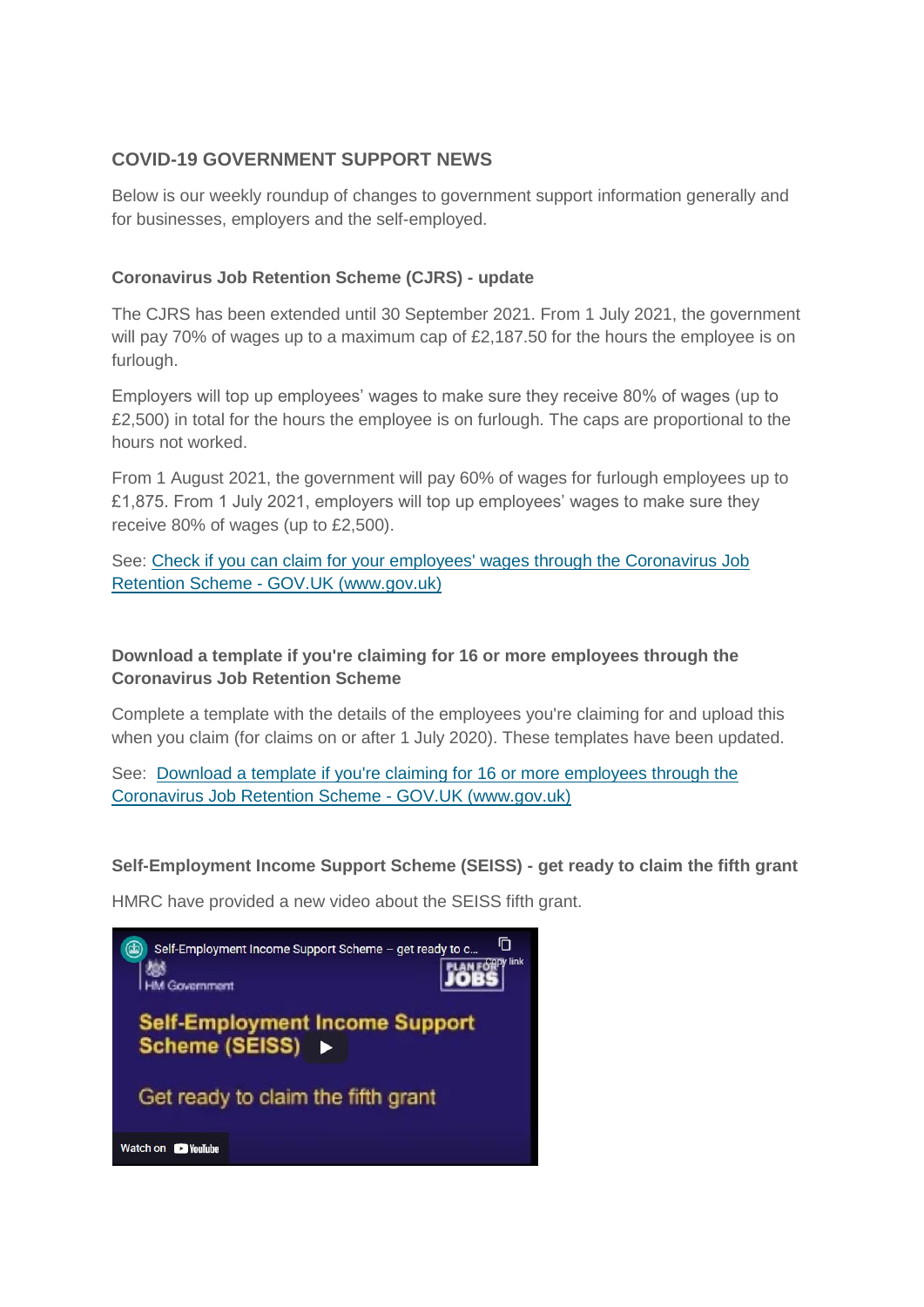## **COVID-19 GOVERNMENT SUPPORT NEWS**

Below is our weekly roundup of changes to government support information generally and for businesses, employers and the self-employed.

## **Coronavirus Job Retention Scheme (CJRS) - update**

The CJRS has been extended until 30 September 2021. From 1 July 2021, the government will pay 70% of wages up to a maximum cap of £2,187.50 for the hours the employee is on furlough.

Employers will top up employees' wages to make sure they receive 80% of wages (up to £2,500) in total for the hours the employee is on furlough. The caps are proportional to the hours not worked.

From 1 August 2021, the government will pay 60% of wages for furlough employees up to £1,875. From 1 July 2021, employers will top up employees' wages to make sure they receive 80% of wages (up to £2,500).

See: [Check if you can claim for your employees' wages through the Coronavirus Job](https://www.gov.uk/guidance/claim-for-wage-costs-through-the-coronavirus-job-retention-scheme?utm_medium=email&utm_campaign=govuk-notifications&utm_source=c91e869d-1ac9-466d-9582-03f6595090c5&utm_content=daily)  Retention Scheme - [GOV.UK \(www.gov.uk\)](https://www.gov.uk/guidance/claim-for-wage-costs-through-the-coronavirus-job-retention-scheme?utm_medium=email&utm_campaign=govuk-notifications&utm_source=c91e869d-1ac9-466d-9582-03f6595090c5&utm_content=daily)

## **Download a template if you're claiming for 16 or more employees through the Coronavirus Job Retention Scheme**

Complete a template with the details of the employees you're claiming for and upload this when you claim (for claims on or after 1 July 2020). These templates have been updated.

See: [Download a template if you're claiming for 16 or more employees through the](https://www.gov.uk/government/publications/download-a-template-if-youre-claiming-for-100-or-more-employees-through-the-coronavirus-job-retention-scheme?utm_medium=email&utm_campaign=govuk-notifications&utm_source=5a0b0703-1ff1-4229-9321-9c5ab922a380&utm_content=daily)  [Coronavirus Job Retention Scheme -](https://www.gov.uk/government/publications/download-a-template-if-youre-claiming-for-100-or-more-employees-through-the-coronavirus-job-retention-scheme?utm_medium=email&utm_campaign=govuk-notifications&utm_source=5a0b0703-1ff1-4229-9321-9c5ab922a380&utm_content=daily) GOV.UK (www.gov.uk)

**Self-Employment Income Support Scheme (SEISS) - get ready to claim the fifth grant**

HMRC have provided a new video about the SEISS fifth grant.

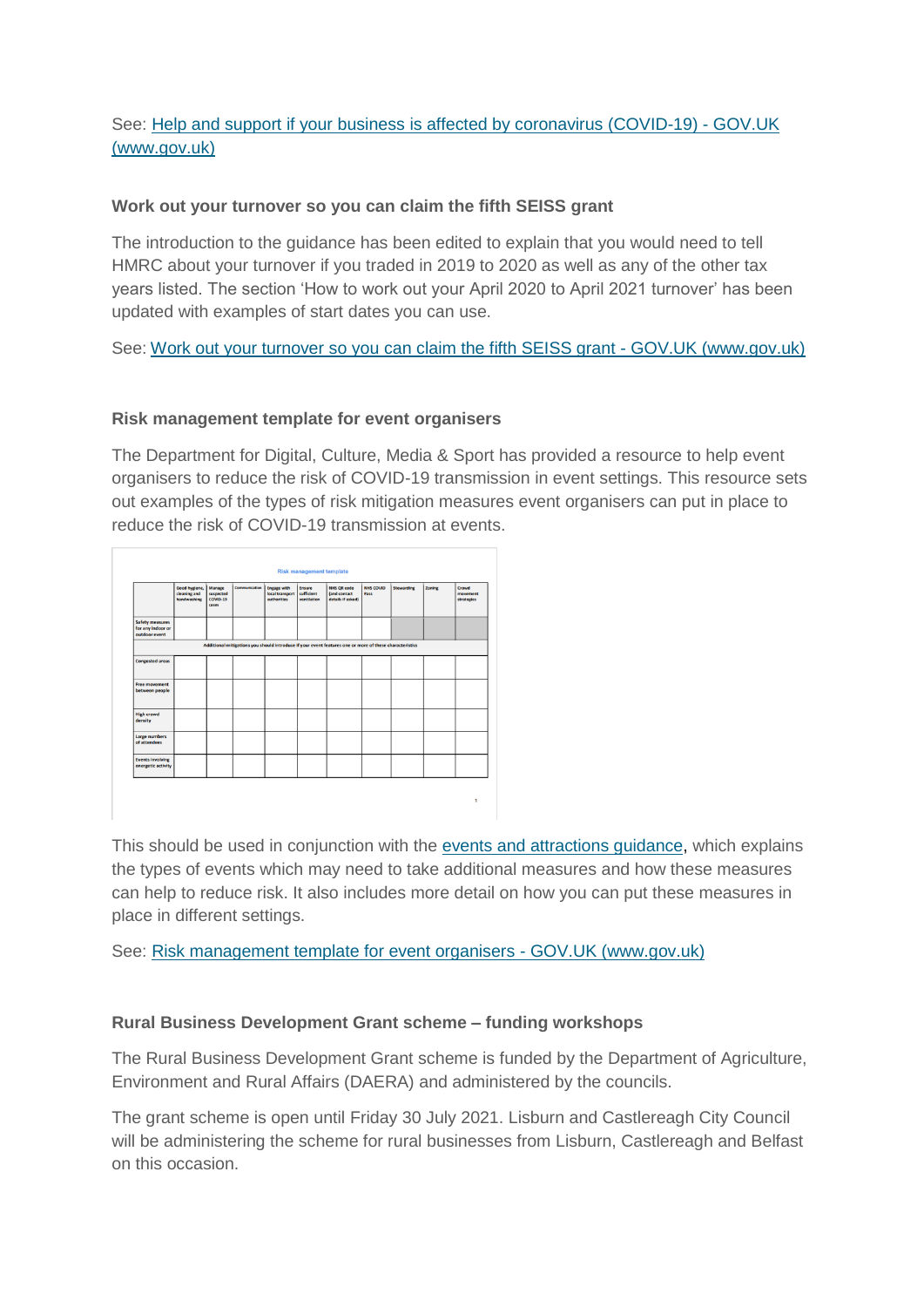## See: [Help and support if your business is affected by coronavirus \(COVID-19\) -](https://www.gov.uk/guidance/help-and-support-if-your-business-is-affected-by-coronavirus-covid-19?utm_medium=email&utm_campaign=govuk-notifications&utm_source=39295318-deb1-4665-9e04-31bd0270b4bf&utm_content=daily#self-employment-income-support-scheme-seiss---get-ready-to-claim-the-fifth-grant) GOV.UK [\(www.gov.uk\)](https://www.gov.uk/guidance/help-and-support-if-your-business-is-affected-by-coronavirus-covid-19?utm_medium=email&utm_campaign=govuk-notifications&utm_source=39295318-deb1-4665-9e04-31bd0270b4bf&utm_content=daily#self-employment-income-support-scheme-seiss---get-ready-to-claim-the-fifth-grant)

#### **Work out your turnover so you can claim the fifth SEISS grant**

The introduction to the guidance has been edited to explain that you would need to tell HMRC about your turnover if you traded in 2019 to 2020 as well as any of the other tax years listed. The section 'How to work out your April 2020 to April 2021 turnover' has been updated with examples of start dates you can use.

See: [Work out your turnover so you can claim the fifth SEISS grant -](https://www.gov.uk/guidance/work-out-your-turnover-so-you-can-claim-the-fifth-seiss-grant?utm_medium=email&utm_campaign=govuk-notifications&utm_source=733233d1-9d0f-495f-a24e-d47828e11a6c&utm_content=daily) GOV.UK (www.gov.uk)

#### **Risk management template for event organisers**

The Department for Digital, Culture, Media & Sport has provided a resource to help event organisers to reduce the risk of COVID-19 transmission in event settings. This resource sets out examples of the types of risk mitigation measures event organisers can put in place to reduce the risk of COVID-19 transmission at events.

|                                                              | Good hygiene,<br>cleaning and<br>handwashing | Manage<br>suspected<br>COVID-19<br>cases | Communication | <b>Engage with</b><br>local transport<br>authorities | Ensure<br>sufficient<br>ventilation | <b>NHS QR code</b><br>(and contact<br>details if asked)                                                 | NHS COVID<br>Pass | <b>Stewarding</b> | Zoning | Crowd<br>movement<br>strategies |
|--------------------------------------------------------------|----------------------------------------------|------------------------------------------|---------------|------------------------------------------------------|-------------------------------------|---------------------------------------------------------------------------------------------------------|-------------------|-------------------|--------|---------------------------------|
| <b>Safety measures</b><br>for any indoor or<br>outdoor event |                                              |                                          |               |                                                      |                                     |                                                                                                         |                   |                   |        |                                 |
|                                                              |                                              |                                          |               |                                                      |                                     | Additional mitigations you should introduce if your event features one or more of these characteristics |                   |                   |        |                                 |
| <b>Congested areas</b>                                       |                                              |                                          |               |                                                      |                                     |                                                                                                         |                   |                   |        |                                 |
| <b>Free movement</b><br>between people                       |                                              |                                          |               |                                                      |                                     |                                                                                                         |                   |                   |        |                                 |
| <b>High crowd</b><br>density                                 |                                              |                                          |               |                                                      |                                     |                                                                                                         |                   |                   |        |                                 |
| Large numbers<br>of attendees                                |                                              |                                          |               |                                                      |                                     |                                                                                                         |                   |                   |        |                                 |
| <b>Events involving</b><br>energetic activity                |                                              |                                          |               |                                                      |                                     |                                                                                                         |                   |                   |        |                                 |

This should be used in conjunction with the [events and attractions guidance,](https://www.gov.uk/guidance/working-safely-during-covid-19/events-and-attractions) which explains the types of events which may need to take additional measures and how these measures can help to reduce risk. It also includes more detail on how you can put these measures in place in different settings.

See: [Risk management template for event organisers -](https://www.gov.uk/government/publications/risk-management-template-for-event-organisers?utm_medium=email&utm_campaign=govuk-notifications&utm_source=742ce4f0-0b34-4c66-b2d4-ebeaee2727a1&utm_content=daily) GOV.UK (www.gov.uk)

## **Rural Business Development Grant scheme – funding workshops**

The Rural Business Development Grant scheme is funded by the Department of Agriculture, Environment and Rural Affairs (DAERA) and administered by the councils.

The grant scheme is open until Friday 30 July 2021. Lisburn and Castlereagh City Council will be administering the scheme for rural businesses from Lisburn, Castlereagh and Belfast on this occasion.